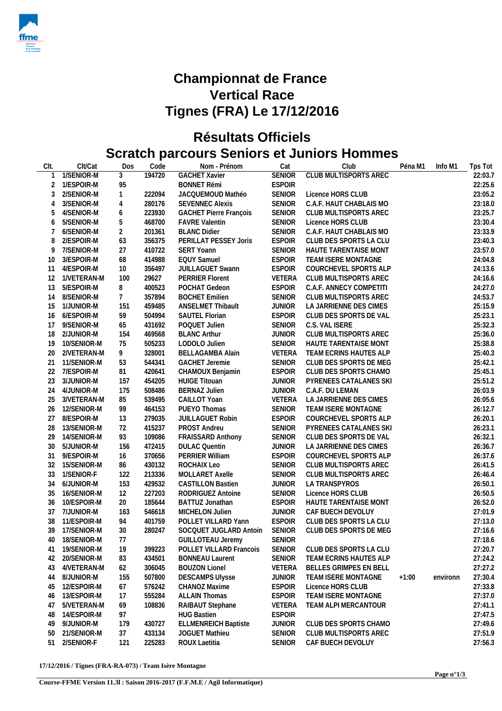

## **Championnat de France Vertical Race Tignes (FRA) Le 17/12/2016**

## **Résultats Officiels Scratch parcours Seniors et Juniors Hommes**

| CIt.           | Clt/Cat        | Dos             | Code   | Nom - Prénom                  | Cat           | Club                         | Péna M1 | Info M1  | Tps Tot |
|----------------|----------------|-----------------|--------|-------------------------------|---------------|------------------------------|---------|----------|---------|
|                | 1/SENIOR-M     | 3               | 194720 | <b>GACHET Xavier</b>          | <b>SENIOR</b> | <b>CLUB MULTISPORTS AREC</b> |         |          | 22:03.7 |
| 2              | 1/ESPOIR-M     | 95              |        | <b>BONNET Rémi</b>            | <b>ESPOIR</b> |                              |         |          | 22:25.6 |
| 3              | 2/SENIOR-M     | $\mathbf{1}$    | 222094 | JACQUEMOUD Mathéo             | <b>SENIOR</b> | Licence HORS CLUB            |         |          | 23:05.2 |
| $\overline{4}$ | 3/SENIOR-M     | 4               | 280176 | <b>SEVENNEC Alexis</b>        | <b>SENIOR</b> | C.A.F. HAUT CHABLAIS MO      |         |          | 23:18.0 |
| 5              | 4/SENIOR-M     | 6               | 223930 | <b>GACHET Pierre François</b> | <b>SENIOR</b> | CLUB MULTISPORTS AREC        |         |          | 23:25.7 |
| 6              | 5/SENIOR-M     | 5               | 468700 | <b>FAVRE Valentin</b>         | <b>SENIOR</b> | Licence HORS CLUB            |         |          | 23:30.4 |
| 7              | 6/SENIOR-M     | $\overline{2}$  | 201361 | <b>BLANC Didier</b>           | <b>SENIOR</b> | C.A.F. HAUT CHABLAIS MO      |         |          | 23:33.9 |
| 8              | 2/ESPOIR-M     | 63              | 356375 | PERILLAT PESSEY Joris         | <b>ESPOIR</b> | CLUB DES SPORTS LA CLU       |         |          | 23:40.3 |
| 9              | 7/SENIOR-M     | 27              | 410722 | <b>SERT Yoann</b>             | SENIOR        | HAUTE TARENTAISE MONT        |         |          | 23:57.0 |
| 10             | 3/ESPOIR-M     | 68              | 414988 | <b>EQUY Samuel</b>            | <b>ESPOIR</b> | TEAM ISERE MONTAGNE          |         |          | 24:04.8 |
| 11             | 4/ESPOIR-M     | 10              | 356497 | <b>JUILLAGUET Swann</b>       | <b>ESPOIR</b> | COURCHEVEL SPORTS ALP        |         |          | 24:13.6 |
| 12             | 1/VETERAN-M    | 100             | 29627  | <b>PERRIER Florent</b>        | VETERA        | CLUB MULTISPORTS AREC        |         |          | 24:16.6 |
| 13             | 5/ESPOIR-M     | 8               | 400523 | POCHAT Gedeon                 | <b>ESPOIR</b> | C.A.F. ANNECY COMPETITI      |         |          | 24:27.0 |
| 14             | 8/SENIOR-M     | $7\phantom{.0}$ | 357894 | <b>BOCHET Emilien</b>         | SENIOR        | CLUB MULTISPORTS AREC        |         |          | 24:53.7 |
| 15             | 1/JUNIOR-M     | 151             | 459485 | ANSELMET Thibault             | <b>JUNIOR</b> | LA JARRIENNE DES CIMES       |         |          | 25:15.9 |
| 16             | 6/ESPOIR-M     | 59              | 504994 | SAUTEL Florian                | <b>ESPOIR</b> | CLUB DES SPORTS DE VAL       |         |          | 25:23.1 |
| 17             | 9/SENIOR-M     | 65              | 431692 | POQUET Julien                 | SENIOR        | C.S. VAL ISERE               |         |          | 25:32.3 |
| 18             | 2/JUNIOR-M     | 154             | 469568 | <b>BLANC Arthur</b>           | <b>JUNIOR</b> | CLUB MULTISPORTS AREC        |         |          | 25:36.0 |
| 19             | 10/SENIOR-M    | 75              | 505233 | LODOLO Julien                 | SENIOR        | HAUTE TARENTAISE MONT        |         |          | 25:38.8 |
| 20             | 2/VETERAN-M    | 9               | 328001 | <b>BELLAGAMBA Alain</b>       | VETERA        | TEAM ECRINS HAUTES ALP       |         |          | 25:40.3 |
| 21             | 11/SENIOR-M    | 53              | 544341 | <b>GACHET Jeremie</b>         | SENIOR        | CLUB DES SPORTS DE MEG       |         |          | 25:42.1 |
| 22             | 7/ESPOIR-M     | 81              | 420641 | CHAMOUX Benjamin              | <b>ESPOIR</b> | CLUB DES SPORTS CHAMO        |         |          | 25:45.1 |
| 23             | 3/JUNIOR-M     | 157             | 454205 | <b>HUIGE Titouan</b>          | <b>JUNIOR</b> | PYRENEES CATALANES SKI       |         |          | 25:51.2 |
| 24             | 4/JUNIOR-M     | 175             | 508486 | <b>BERNAZ Julien</b>          | <b>JUNIOR</b> | C.A.F. DU LEMAN              |         |          | 26:03.9 |
| 25             | 3/VETERAN-M    | 85              | 539495 | CAILLOT Yoan                  | VETERA        | LA JARRIENNE DES CIMES       |         |          | 26:05.6 |
| 26             | 12/SENIOR-M    | 99              | 464153 | PUEYO Thomas                  | <b>SENIOR</b> | TEAM ISERE MONTAGNE          |         |          | 26:12.7 |
| 27             | 8/ESPOIR-M     | 13              | 279035 | JUILLAGUET Robin              | <b>ESPOIR</b> | COURCHEVEL SPORTS ALP        |         |          | 26:20.1 |
| 28             | 13/SENIOR-M    | 72              | 415237 | PROST Andreu                  | SENIOR        | PYRENEES CATALANES SKI       |         |          | 26:23.1 |
| 29             | 14/SENIOR-M    | 93              | 109086 | <b>FRAISSARD Anthony</b>      | SENIOR        | CLUB DES SPORTS DE VAL       |         |          | 26:32.1 |
| 30             | 5/JUNIOR-M     | 156             | 472415 | <b>DULAC Quentin</b>          | <b>JUNIOR</b> | LA JARRIENNE DES CIMES       |         |          | 26:36.7 |
| 31             | 9/ESPOIR-M     | 16              | 370656 | PERRIER William               | <b>ESPOIR</b> | COURCHEVEL SPORTS ALP        |         |          | 26:37.6 |
| 32             | 15/SENIOR-M    | 86              | 430132 | ROCHAIX Leo                   | <b>SENIOR</b> | CLUB MULTISPORTS AREC        |         |          | 26:41.5 |
| 33             | 1/SENIOR-F     | 122             | 213336 | MOLLARET Axelle               | SENIOR        | CLUB MULTISPORTS AREC        |         |          | 26:46.4 |
| 34             | 6/JUNIOR-M     | 153             | 429532 | <b>CASTILLON Bastien</b>      | <b>JUNIOR</b> | LA TRANSPYROS                |         |          | 26:50.1 |
| 35             | 16/SENIOR-M    | 12              | 227203 | RODRIGUEZ Antoine             | SENIOR        | Licence HORS CLUB            |         |          | 26:50.5 |
| 36             | 10/ESPOIR-M    | 20              | 185644 | BATTUZ Jonathan               | <b>ESPOIR</b> | HAUTE TARENTAISE MONT        |         |          | 26:52.0 |
| 37             | 7/JUNIOR-M     | 163             | 546618 | MICHELON Julien               | <b>JUNIOR</b> | CAF BUECH DEVOLUY            |         |          | 27:01.9 |
| 38             | 11/ESPOIR-M    | 94              | 401759 | POLLET VILLARD Yann           | <b>ESPOIR</b> | CLUB DES SPORTS LA CLU       |         |          | 27:13.0 |
| 39             | 17/SENIOR-M    | 30              | 280247 | SOCQUET JUGLARD Antoin        | <b>SENIOR</b> | CLUB DES SPORTS DE MEG       |         |          | 27:16.6 |
|                | 40 18/SENIOR-M | 77              |        | GUILLOTEAU Jeremy             | SENIOR        |                              |         |          | 27:18.6 |
| 41             | 19/SENIOR-M    | 19              | 399223 | POLLET VILLARD Francois       | SENIOR        | CLUB DES SPORTS LA CLU       |         |          | 27:20.7 |
| 42             | 20/SENIOR-M    | 83              | 434501 | <b>BONNEAU Laurent</b>        | SENIOR        | TEAM ECRINS HAUTES ALP       |         |          | 27:24.2 |
| 43             | 4/VETERAN-M    | 62              | 306045 | <b>BOUZON Lionel</b>          | VETERA        | BELLES GRIMPES EN BELL       |         |          | 27:27.2 |
| 44             | 8/JUNIOR-M     | 155             | 507800 | <b>DESCAMPS Ulysse</b>        | <b>JUNIOR</b> | TEAM ISERE MONTAGNE          | $+1:00$ | environn | 27:30.4 |
| 45             | 12/ESPOIR-M    | 67              | 576242 | CHANOZ Maxime                 | <b>ESPOIR</b> | Licence HORS CLUB            |         |          | 27:33.8 |
| 46             | 13/ESPOIR-M    | 17              | 555284 | <b>ALLAIN Thomas</b>          | <b>ESPOIR</b> | TEAM ISERE MONTAGNE          |         |          | 27:37.0 |
| 47             | 5/VETERAN-M    | 69              | 108836 | RAIBAUT Stephane              | VETERA        | TEAM ALPI MERCANTOUR         |         |          | 27:41.1 |
| 48             | 14/ESPOIR-M    | 97              |        | <b>HUG Bastien</b>            | <b>ESPOIR</b> |                              |         |          | 27:47.5 |
| 49             | 9/JUNIOR-M     | 179             | 430727 | <b>ELLMENREICH Baptiste</b>   | <b>JUNIOR</b> | CLUB DES SPORTS CHAMO        |         |          | 27:49.6 |
| 50             | 21/SENIOR-M    | 37              | 433134 | <b>JOGUET Mathieu</b>         | <b>SENIOR</b> | CLUB MULTISPORTS AREC        |         |          | 27:51.9 |
| 51             | 2/SENIOR-F     | 121             | 225283 | ROUX Laetitia                 | <b>SENIOR</b> | CAF BUECH DEVOLUY            |         |          | 27:56.3 |
|                |                |                 |        |                               |               |                              |         |          |         |

**17/12/2016 / Tignes (FRA-RA-073) / Team Isère Montagne**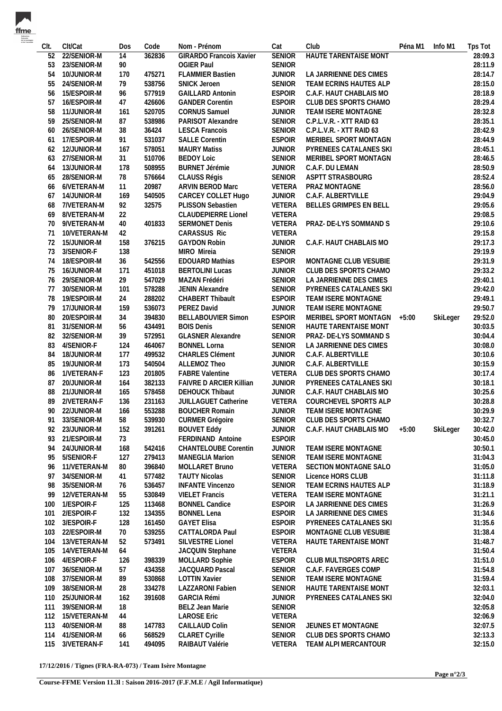| Clt.       | Clt/Cat                   | Dos        | Code             | Nom - Prénom                             | Cat                            | Club                                             | Péna M1 | Info M1  | Tps Tot            |
|------------|---------------------------|------------|------------------|------------------------------------------|--------------------------------|--------------------------------------------------|---------|----------|--------------------|
| 52         | 22/SENIOR-M               | 14         | 362836           | <b>GIRARDO Francois Xavier</b>           | <b>SENIOR</b>                  | <b>HAUTE TARENTAISE MONT</b>                     |         |          | 28:09.3            |
| 53         | 23/SENIOR-M               | 90         |                  | <b>OGIER Paul</b>                        | <b>SENIOR</b>                  |                                                  |         |          | 28:11.9            |
| 54         | 10/JUNIOR-M               | 170        | 475271           | <b>FLAMMIER Bastien</b>                  | <b>JUNIOR</b>                  | LA JARRIENNE DES CIMES                           |         |          | 28:14.7            |
| 55         | 24/SENIOR-M               | 79         | 538756           | SNICK Jeroen                             | <b>SENIOR</b>                  | TEAM ECRINS HAUTES ALP                           |         |          | 28:15.0            |
| 56         | 15/ESPOIR-M               | 96         | 577919           | <b>GAILLARD Antonin</b>                  | <b>ESPOIR</b>                  | C.A.F. HAUT CHABLAIS MO                          |         |          | 28:18.9            |
| 57         | 16/ESPOIR-M               | 47         | 426606           | <b>GANDER Corentin</b>                   | <b>ESPOIR</b>                  | CLUB DES SPORTS CHAMO                            |         |          | 28:29.4            |
| 58         | 11/JUNIOR-M               | 161        | 520705           | <b>CORNUS Samuel</b>                     | <b>JUNIOR</b>                  | TEAM ISERE MONTAGNE                              |         |          | 28:32.8            |
| 59         | 25/SENIOR-M               | 87         | 538986           | PARISOT Alexandre                        | SENIOR                         | C.P.L.V.R. - XTT RAID 63                         |         |          | 28:35.1            |
| 60         | 26/SENIOR-M               | 38         | 36424            | <b>LESCA Francois</b>                    | SENIOR                         | C.P.L.V.R. - XTT RAID 63                         |         |          | 28:42.9            |
| 61         | 17/ESPOIR-M               | 91         | 531037           | <b>SALLE Corentin</b>                    | <b>ESPOIR</b>                  | MERIBEL SPORT MONTAGN                            |         |          | 28:44.9            |
|            | 62 12/JUNIOR-M            | 167        | 578051           | <b>MAURY Matiss</b>                      | <b>JUNIOR</b>                  | PYRENEES CATALANES SKI                           |         |          | 28:45.1            |
| 63         | 27/SENIOR-M               | 31         | 510706           | <b>BEDOY Loic</b>                        | <b>SENIOR</b>                  | MERIBEL SPORT MONTAGN                            |         |          | 28:46.5            |
| 64         | 13/JUNIOR-M               | 178        | 508955           | <b>BURNET Jérémie</b>                    | <b>JUNIOR</b>                  | C.A.F. DU LEMAN                                  |         |          | 28:50.9            |
| 65         | 28/SENIOR-M               | 78         | 576664           | CLAUSS Régis                             | SENIOR                         | ASPTT STRASBOURG                                 |         |          | 28:52.4            |
| 66         | 6/VETERAN-M               | 11         | 20987            | ARVIN BEROD Marc                         | VETERA                         | PRAZ MONTAGNE                                    |         |          | 28:56.0            |
| 67         | 14/JUNIOR-M               | 169        | 540505           | CARCEY COLLET Hugo                       | <b>JUNIOR</b>                  | C.A.F. ALBERTVILLE                               |         |          | 29:04.9            |
| 68         | 7/VETERAN-M               | 92         | 32575            | PLISSON Sebastien                        | VETERA                         | BELLES GRIMPES EN BELL                           |         |          | 29:05.6            |
| 69         | 8/VETERAN-M               | 22         |                  | <b>CLAUDEPIERRE Lionel</b>               | VETERA                         |                                                  |         |          | 29:08.5            |
| 70         | 9/VETERAN-M               | 40         | 401833           | <b>SERMONET Denis</b>                    | VETERA                         | PRAZ- DE-LYS SOMMAND S                           |         |          | 29:10.6            |
| 71         | 10/VETERAN-M              | 42         |                  | <b>CARASSUS Ric</b>                      | VETERA                         |                                                  |         |          | 29:15.8            |
| 72<br>73   | 15/JUNIOR-M<br>3/SENIOR-F | 158<br>138 | 376215           | <b>GAYDON Robin</b><br>MIRO Mireia       | <b>JUNIOR</b><br><b>SENIOR</b> | C.A.F. HAUT CHABLAIS MO                          |         |          | 29:17.3<br>29:19.9 |
|            | 18/ESPOIR-M               |            | 542556           | <b>EDOUARD Mathias</b>                   | <b>ESPOIR</b>                  | MONTAGNE CLUB VESUBIE                            |         |          | 29:31.9            |
| 74<br>75   | 16/JUNIOR-M               | 36<br>171  | 451018           | <b>BERTOLINI Lucas</b>                   | <b>JUNIOR</b>                  | CLUB DES SPORTS CHAMO                            |         |          | 29:33.2            |
| 76         | 29/SENIOR-M               | 29         | 547029           | MAZAN Frédéri                            | <b>SENIOR</b>                  | LA JARRIENNE DES CIMES                           |         |          | 29:40.1            |
| 77         | 30/SENIOR-M               | 101        | 578288           | JENIN Alexandre                          | <b>SENIOR</b>                  | PYRENEES CATALANES SKI                           |         |          | 29:42.0            |
| 78         | 19/ESPOIR-M               | 24         | 288202           | CHABERT Thibault                         | <b>ESPOIR</b>                  | TEAM ISERE MONTAGNE                              |         |          | 29:49.1            |
| 79         | 17/JUNIOR-M               | 159        | 536073           | PEREZ David                              | <b>JUNIOR</b>                  | TEAM ISERE MONTAGNE                              |         |          | 29:50.7            |
| 80         | 20/ESPOIR-M               | 34         | 394830           | <b>BELLABOUVIER Simon</b>                | <b>ESPOIR</b>                  | MERIBEL SPORT MONTAGN                            | +5:00   | SkiLeger | 29:52.0            |
| 81         | 31/SENIOR-M               | 56         | 434491           | <b>BOIS Denis</b>                        | <b>SENIOR</b>                  | HAUTE TARENTAISE MONT                            |         |          | 30:03.5            |
| 82         | 32/SENIOR-M               | 39         | 572951           | <b>GLASNER Alexandre</b>                 | <b>SENIOR</b>                  | PRAZ- DE-LYS SOMMAND S                           |         |          | 30:04.4            |
| 83         | 4/SENIOR-F                | 124        | 464067           | <b>BONNEL Lorna</b>                      | <b>SENIOR</b>                  | LA JARRIENNE DES CIMES                           |         |          | 30:08.0            |
| 84         | 18/JUNIOR-M               | 177        | 499532           | <b>CHARLES Clément</b>                   | <b>JUNIOR</b>                  | C.A.F. ALBERTVILLE                               |         |          | 30:10.6            |
| 85         | 19/JUNIOR-M               | 173        | 540504           | ALLEMOZ Theo                             | <b>JUNIOR</b>                  | C.A.F. ALBERTVILLE                               |         |          | 30:15.9            |
| 86         | 1/VETERAN-F               | 123        | 201805           | <b>FABRE Valentine</b>                   | VETERA                         | CLUB DES SPORTS CHAMO                            |         |          | 30:17.4            |
| 87         | 20/JUNIOR-M               | 164        | 382133           | <b>FAIVRE D ARCIER Killian</b>           | <b>JUNIOR</b>                  | PYRENEES CATALANES SKI                           |         |          | 30:18.1            |
| 88         | 21/JUNIOR-M               | 165        | 578458           | DEHOUCK Thibaut                          | <b>JUNIOR</b>                  | C.A.F. HAUT CHABLAIS MO                          |         |          | 30:25.6            |
| 89         | 2/VETERAN-F               | 136        | 231163           | JUILLAGUET Catherine                     | VETERA                         | COURCHEVEL SPORTS ALP                            |         |          | 30:28.8            |
| 90         | 22/JUNIOR-M               | 166        | 553288           | <b>BOUCHER Romain</b>                    | <b>JUNIOR</b>                  | TEAM ISERE MONTAGNE                              |         |          | 30:29.9            |
|            | 91 33/SENIOR-M            | 58         | 539930           | CURMER Grégoire                          |                                | SENIOR CLUB DES SPORTS CHAMO                     |         |          | 30:32.7            |
| 92         | 23/JUNIOR-M               | 152        | 391261           | <b>BOUVET Eddy</b>                       | JUNIOR                         | C.A.F. HAUT CHABLAIS MO                          | $+5:00$ | SkiLeger | 30:42.0            |
| 93         | 21/ESPOIR-M               | 73         |                  | FERDINAND Antoine                        | <b>ESPOIR</b>                  |                                                  |         |          | 30:45.0            |
| 94         | 24/JUNIOR-M               | 168        | 542416           | <b>CHANTELOUBE Corentin</b>              | <b>JUNIOR</b>                  | TEAM ISERE MONTAGNE                              |         |          | 30:50.1            |
| 95         | 5/SENIOR-F                | 127        | 279413           | MANEGLIA Marion                          | <b>SENIOR</b>                  | TEAM ISERE MONTAGNE                              |         |          | 31:04.3            |
| 96         | 11/VETERAN-M              | 80         | 396840           | MOLLARET Bruno                           | VETERA                         | SECTION MONTAGNE SALO                            |         |          | 31:05.0            |
| 97         | 34/SENIOR-M               | 41         | 577482           | <b>TAUTY Nicolas</b>                     | <b>SENIOR</b>                  | Licence HORS CLUB                                |         |          | 31:11.8            |
| 98         | 35/SENIOR-M               | 76         | 536457           | <b>INFANTE Vincenzo</b>                  | SENIOR                         | TEAM ECRINS HAUTES ALP                           |         |          | 31:18.9            |
| 99         | 12/VETERAN-M              | 55         | 530849           | <b>VIELET Francis</b>                    | VETERA                         | TEAM ISERE MONTAGNE                              |         |          | 31:21.1            |
| 100        | 1/ESPOIR-F                | 125        | 113468           | <b>BONNEL Candice</b>                    | <b>ESPOIR</b>                  | LA JARRIENNE DES CIMES                           |         |          | 31:26.9            |
| 101<br>102 | 2/ESPOIR-F<br>3/ESPOIR-F  | 132<br>128 | 134355<br>161450 | <b>BONNEL Lena</b><br><b>GAYET Elisa</b> | <b>ESPOIR</b><br><b>ESPOIR</b> | LA JARRIENNE DES CIMES<br>PYRENEES CATALANES SKI |         |          | 31:34.6<br>31:35.6 |
| 103        | 22/ESPOIR-M               | 70         | 539255           | CATTALORDA Paul                          | <b>ESPOIR</b>                  | MONTAGNE CLUB VESUBIE                            |         |          | 31:38.4            |
| 104        | 13/VETERAN-M              | 52         | 573491           | SILVESTRE Lionel                         | VETERA                         | HAUTE TARENTAISE MONT                            |         |          | 31:48.7            |
| 105        | 14/VETERAN-M              | 64         |                  | JACQUIN Stephane                         | VETERA                         |                                                  |         |          | 31:50.4            |
| 106        | 4/ESPOIR-F                | 126        | 398339           | MOLLARD Sophie                           | <b>ESPOIR</b>                  | CLUB MULTISPORTS AREC                            |         |          | 31:51.0            |
| 107        | 36/SENIOR-M               | 57         | 434358           | JACQUARD Pascal                          | SENIOR                         | C.A.F. FAVERGES COMP                             |         |          | 31:54.8            |
| 108        | 37/SENIOR-M               | 89         | 530868           | <b>LOTTIN Xavier</b>                     | <b>SENIOR</b>                  | TEAM ISERE MONTAGNE                              |         |          | 31:59.4            |
| 109        | 38/SENIOR-M               | 28         | 334278           | LAZZARONI Fabien                         | <b>SENIOR</b>                  | HAUTE TARENTAISE MONT                            |         |          | 32:03.1            |
| 110        | 25/JUNIOR-M               | 162        | 391608           | <b>GARCIA Rémi</b>                       | <b>JUNIOR</b>                  | PYRENEES CATALANES SKI                           |         |          | 32:04.0            |
| 111        | 39/SENIOR-M               | 18         |                  | BELZ Jean Marie                          | <b>SENIOR</b>                  |                                                  |         |          | 32:05.8            |
|            | 112 15/VETERAN-M          | 44         |                  | <b>LAROSE Eric</b>                       | VETERA                         |                                                  |         |          | 32:06.9            |
| 113        | 40/SENIOR-M               | 88         | 147783           | CAILLAUD Colin                           | SENIOR                         | JEUNES ET MONTAGNE                               |         |          | 32:07.5            |
| 114        | 41/SENIOR-M               | 66         | 568529           | <b>CLARET Cyrille</b>                    | SENIOR                         | CLUB DES SPORTS CHAMO                            |         |          | 32:13.3            |
| 115        | 3/VETERAN-F               | 141        | 494095           | RAIBAUT Valérie                          | VETERA                         | TEAM ALPI MERCANTOUR                             |         |          | 32:15.0            |
|            |                           |            |                  |                                          |                                |                                                  |         |          |                    |

**17/12/2016 / Tignes (FRA-RA-073) / Team Isère Montagne**